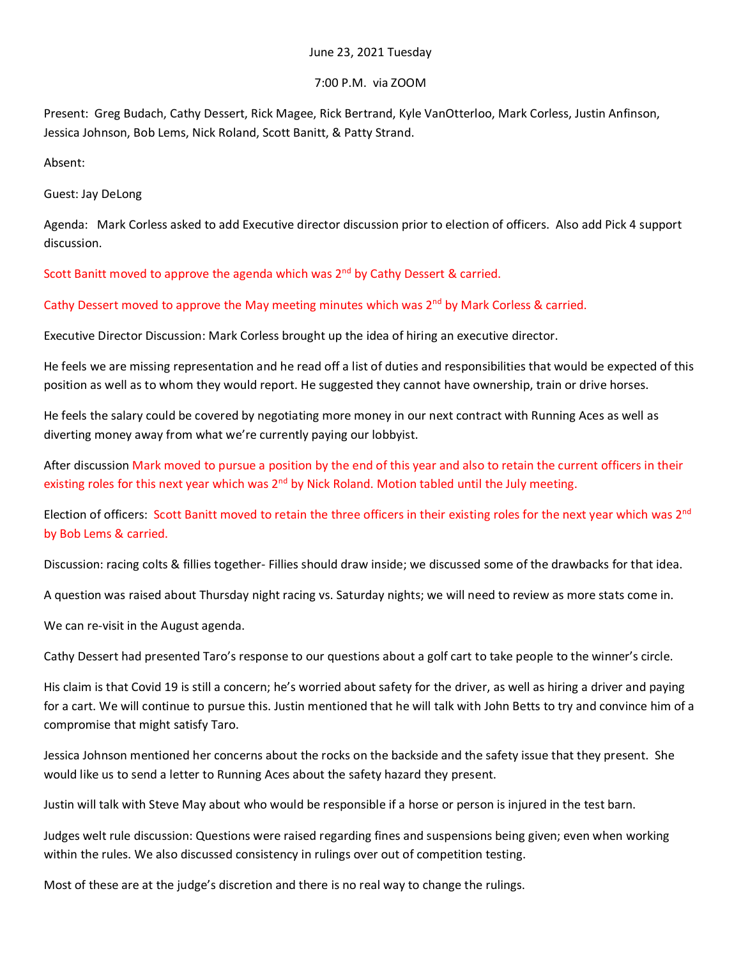## June 23, 2021 Tuesday

## 7:00 P.M. via ZOOM

Present: Greg Budach, Cathy Dessert, Rick Magee, Rick Bertrand, Kyle VanOtterloo, Mark Corless, Justin Anfinson, Jessica Johnson, Bob Lems, Nick Roland, Scott Banitt, & Patty Strand.

Absent:

Guest: Jay DeLong

Agenda: Mark Corless asked to add Executive director discussion prior to election of officers. Also add Pick 4 support discussion.

Scott Banitt moved to approve the agenda which was  $2<sup>nd</sup>$  by Cathy Dessert & carried.

Cathy Dessert moved to approve the May meeting minutes which was  $2^{nd}$  by Mark Corless & carried.

Executive Director Discussion: Mark Corless brought up the idea of hiring an executive director.

He feels we are missing representation and he read off a list of duties and responsibilities that would be expected of this position as well as to whom they would report. He suggested they cannot have ownership, train or drive horses.

He feels the salary could be covered by negotiating more money in our next contract with Running Aces as well as diverting money away from what we're currently paying our lobbyist.

After discussion Mark moved to pursue a position by the end of this year and also to retain the current officers in their existing roles for this next year which was 2<sup>nd</sup> by Nick Roland. Motion tabled until the July meeting.

Election of officers: Scott Banitt moved to retain the three officers in their existing roles for the next year which was 2<sup>nd</sup> by Bob Lems & carried.

Discussion: racing colts & fillies together- Fillies should draw inside; we discussed some of the drawbacks for that idea.

A question was raised about Thursday night racing vs. Saturday nights; we will need to review as more stats come in.

We can re-visit in the August agenda.

Cathy Dessert had presented Taro's response to our questions about a golf cart to take people to the winner's circle.

His claim is that Covid 19 is still a concern; he's worried about safety for the driver, as well as hiring a driver and paying for a cart. We will continue to pursue this. Justin mentioned that he will talk with John Betts to try and convince him of a compromise that might satisfy Taro.

Jessica Johnson mentioned her concerns about the rocks on the backside and the safety issue that they present. She would like us to send a letter to Running Aces about the safety hazard they present.

Justin will talk with Steve May about who would be responsible if a horse or person is injured in the test barn.

Judges welt rule discussion: Questions were raised regarding fines and suspensions being given; even when working within the rules. We also discussed consistency in rulings over out of competition testing.

Most of these are at the judge's discretion and there is no real way to change the rulings.